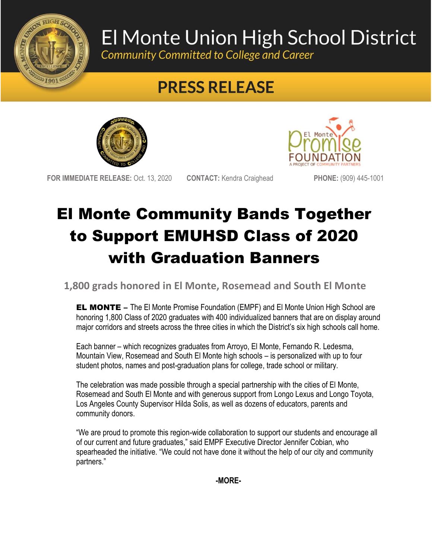

## El Monte Union High School District

Community Committed to College and Career

## **PRESS RELEASE**





**FOR IMMEDIATE RELEASE:** Oct. 13, 2020 **CONTACT:** Kendra Craighead **PHONE:** (909) 445-1001

## El Monte Community Bands Together to Support EMUHSD Class of 2020 with Graduation Banners

**1,800 grads honored in El Monte, Rosemead and South El Monte**

EL MONTE – The El Monte Promise Foundation (EMPF) and El Monte Union High School are honoring 1,800 Class of 2020 graduates with 400 individualized banners that are on display around major corridors and streets across the three cities in which the District's six high schools call home.

Each banner – which recognizes graduates from Arroyo, El Monte, Fernando R. Ledesma, Mountain View, Rosemead and South El Monte high schools – is personalized with up to four student photos, names and post-graduation plans for college, trade school or military.

The celebration was made possible through a special partnership with the cities of El Monte, Rosemead and South El Monte and with generous support from Longo Lexus and Longo Toyota, Los Angeles County Supervisor Hilda Solis, as well as dozens of educators, parents and community donors.

"We are proud to promote this region-wide collaboration to support our students and encourage all of our current and future graduates," said EMPF Executive Director Jennifer Cobian, who spearheaded the initiative. "We could not have done it without the help of our city and community partners."

**-MORE-**